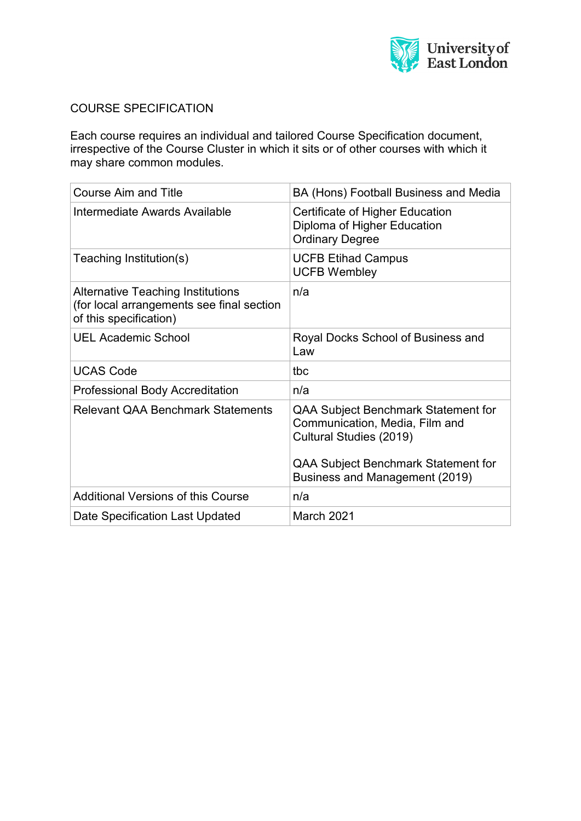

# COURSE SPECIFICATION

Each course requires an individual and tailored Course Specification document, irrespective of the Course Cluster in which it sits or of other courses with which it may share common modules.

| <b>Course Aim and Title</b>                                                                                     | BA (Hons) Football Business and Media                                                                                                                                            |
|-----------------------------------------------------------------------------------------------------------------|----------------------------------------------------------------------------------------------------------------------------------------------------------------------------------|
| Intermediate Awards Available                                                                                   | Certificate of Higher Education<br>Diploma of Higher Education<br><b>Ordinary Degree</b>                                                                                         |
| Teaching Institution(s)                                                                                         | <b>UCFB Etihad Campus</b><br><b>UCFB Wembley</b>                                                                                                                                 |
| <b>Alternative Teaching Institutions</b><br>(for local arrangements see final section<br>of this specification) | n/a                                                                                                                                                                              |
| <b>UEL Academic School</b>                                                                                      | Royal Docks School of Business and<br>Law                                                                                                                                        |
| <b>UCAS Code</b>                                                                                                | tbc                                                                                                                                                                              |
| Professional Body Accreditation                                                                                 | n/a                                                                                                                                                                              |
| <b>Relevant QAA Benchmark Statements</b>                                                                        | <b>QAA Subject Benchmark Statement for</b><br>Communication, Media, Film and<br>Cultural Studies (2019)<br>QAA Subject Benchmark Statement for<br>Business and Management (2019) |
| <b>Additional Versions of this Course</b>                                                                       | n/a                                                                                                                                                                              |
| Date Specification Last Updated                                                                                 | <b>March 2021</b>                                                                                                                                                                |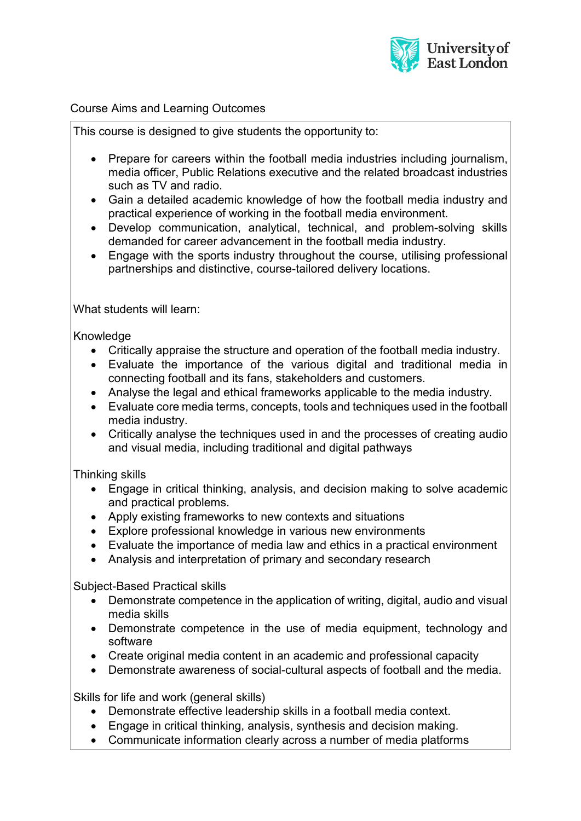

### Course Aims and Learning Outcomes

This course is designed to give students the opportunity to:

- Prepare for careers within the football media industries including journalism, media officer, Public Relations executive and the related broadcast industries such as TV and radio.
- Gain a detailed academic knowledge of how the football media industry and practical experience of working in the football media environment.
- Develop communication, analytical, technical, and problem-solving skills demanded for career advancement in the football media industry.
- Engage with the sports industry throughout the course, utilising professional partnerships and distinctive, course-tailored delivery locations.

What students will learn:

Knowledge

- Critically appraise the structure and operation of the football media industry.
- Evaluate the importance of the various digital and traditional media in connecting football and its fans, stakeholders and customers.
- Analyse the legal and ethical frameworks applicable to the media industry.
- Evaluate core media terms, concepts, tools and techniques used in the football media industry.
- Critically analyse the techniques used in and the processes of creating audio and visual media, including traditional and digital pathways

Thinking skills

- Engage in critical thinking, analysis, and decision making to solve academic and practical problems.
- Apply existing frameworks to new contexts and situations
- Explore professional knowledge in various new environments
- Evaluate the importance of media law and ethics in a practical environment
- Analysis and interpretation of primary and secondary research

Subject-Based Practical skills

- Demonstrate competence in the application of writing, digital, audio and visual media skills
- Demonstrate competence in the use of media equipment, technology and software
- Create original media content in an academic and professional capacity
- Demonstrate awareness of social-cultural aspects of football and the media.

Skills for life and work (general skills)

- Demonstrate effective leadership skills in a football media context.
- Engage in critical thinking, analysis, synthesis and decision making.
- Communicate information clearly across a number of media platforms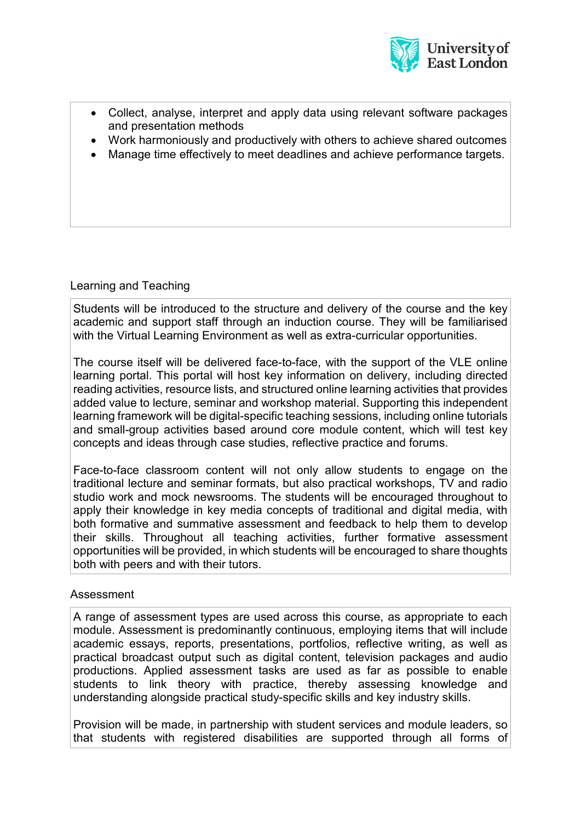

- Collect, analyse, interpret and apply data using relevant software packages and presentation methods
- Work harmoniously and productively with others to achieve shared outcomes
- Manage time effectively to meet deadlines and achieve performance targets.

## Learning and Teaching

Students will be introduced to the structure and delivery of the course and the key academic and support staff through an induction course. They will be familiarised with the Virtual Learning Environment as well as extra-curricular opportunities.

The course itself will be delivered face-to-face, with the support of the VLE online learning portal. This portal will host key information on delivery, including directed reading activities, resource lists, and structured online learning activities that provides added value to lecture, seminar and workshop material. Supporting this independent learning framework will be digital-specific teaching sessions, including online tutorials and small-group activities based around core module content, which will test key concepts and ideas through case studies, reflective practice and forums.

Face-to-face classroom content will not only allow students to engage on the traditional lecture and seminar formats, but also practical workshops, TV and radio studio work and mock newsrooms. The students will be encouraged throughout to apply their knowledge in key media concepts of traditional and digital media, with both formative and summative assessment and feedback to help them to develop their skills. Throughout all teaching activities, further formative assessment opportunities will be provided, in which students will be encouraged to share thoughts both with peers and with their tutors.

#### Assessment

A range of assessment types are used across this course, as appropriate to each module. Assessment is predominantly continuous, employing items that will include academic essays, reports, presentations, portfolios, reflective writing, as well as practical broadcast output such as digital content, television packages and audio productions. Applied assessment tasks are used as far as possible to enable students to link theory with practice, thereby assessing knowledge and understanding alongside practical study-specific skills and key industry skills.

Provision will be made, in partnership with student services and module leaders, so that students with registered disabilities are supported through all forms of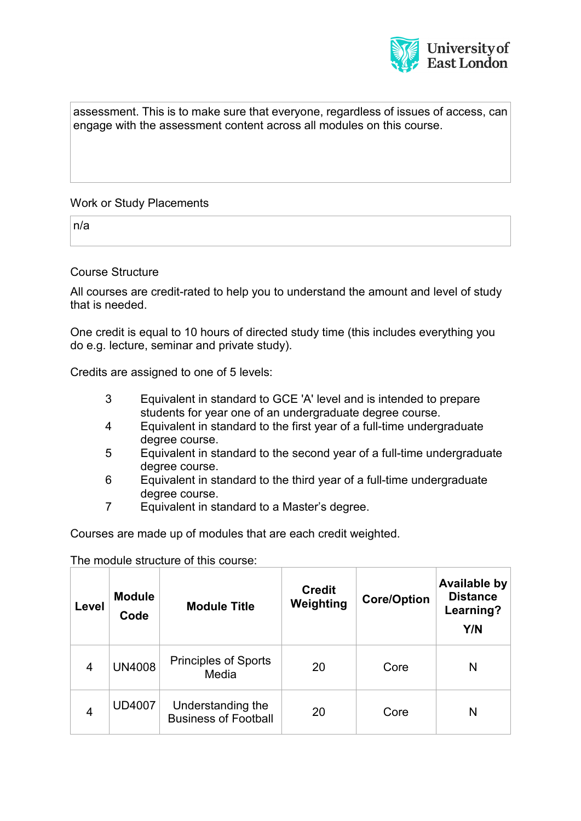

assessment. This is to make sure that everyone, regardless of issues of access, can engage with the assessment content across all modules on this course.

### Work or Study Placements

n/a

#### Course Structure

All courses are credit-rated to help you to understand the amount and level of study that is needed.

One credit is equal to 10 hours of directed study time (this includes everything you do e.g. lecture, seminar and private study).

Credits are assigned to one of 5 levels:

- 3 Equivalent in standard to GCE 'A' level and is intended to prepare students for year one of an undergraduate degree course.
- 4 Equivalent in standard to the first year of a full-time undergraduate degree course.
- 5 Equivalent in standard to the second year of a full-time undergraduate degree course.
- 6 Equivalent in standard to the third year of a full-time undergraduate degree course.
- 7 Equivalent in standard to a Master's degree.

Courses are made up of modules that are each credit weighted.

The module structure of this course:

| Level          | <b>Module</b><br>Code | <b>Module Title</b>                              | <b>Credit</b><br>Weighting | <b>Core/Option</b> | <b>Available by</b><br><b>Distance</b><br>Learning?<br>Y/N |
|----------------|-----------------------|--------------------------------------------------|----------------------------|--------------------|------------------------------------------------------------|
| 4              | <b>UN4008</b>         | <b>Principles of Sports</b><br>Media             | 20                         | Core               | N                                                          |
| $\overline{4}$ | <b>UD4007</b>         | Understanding the<br><b>Business of Football</b> | 20                         | Core               | N                                                          |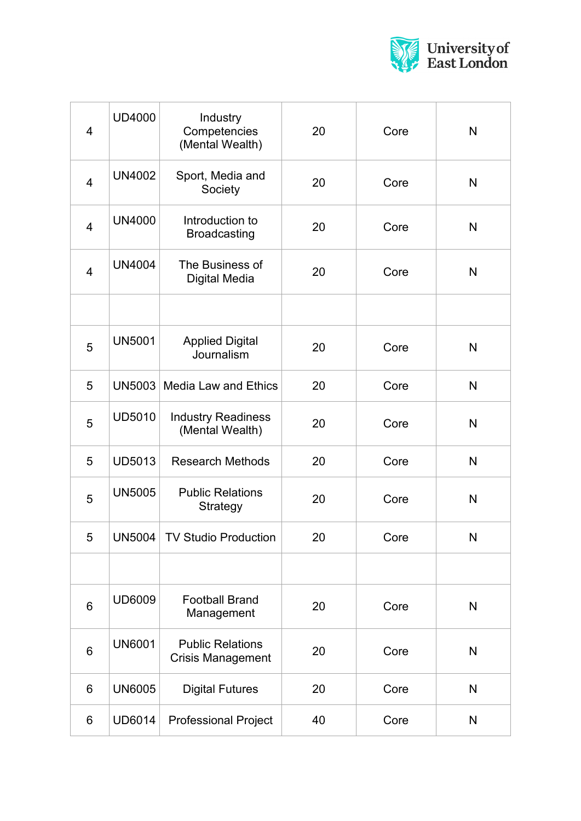

| $\overline{4}$ | <b>UD4000</b> | Industry<br>Competencies<br>(Mental Wealth)         | 20 | Core | N            |
|----------------|---------------|-----------------------------------------------------|----|------|--------------|
| $\overline{4}$ | <b>UN4002</b> | Sport, Media and<br>Society                         | 20 | Core | $\mathsf{N}$ |
| $\overline{4}$ | <b>UN4000</b> | Introduction to<br><b>Broadcasting</b>              | 20 | Core | N            |
| $\overline{4}$ | <b>UN4004</b> | The Business of<br><b>Digital Media</b>             | 20 | Core | $\mathsf{N}$ |
|                |               |                                                     |    |      |              |
| 5              | <b>UN5001</b> | <b>Applied Digital</b><br>Journalism                | 20 | Core | $\mathsf{N}$ |
| 5              |               | UN5003   Media Law and Ethics                       | 20 | Core | $\mathsf{N}$ |
| 5              | <b>UD5010</b> | <b>Industry Readiness</b><br>(Mental Wealth)        | 20 | Core | $\mathsf{N}$ |
| 5              | <b>UD5013</b> | <b>Research Methods</b>                             | 20 | Core | $\mathsf{N}$ |
| 5              | <b>UN5005</b> | <b>Public Relations</b><br>Strategy                 | 20 | Core | $\mathsf{N}$ |
| 5              | UN5004        | <b>TV Studio Production</b>                         | 20 | Core | N            |
|                |               |                                                     |    |      |              |
| $6\phantom{1}$ | <b>UD6009</b> | <b>Football Brand</b><br>Management                 | 20 | Core | N            |
| $6\phantom{1}$ | <b>UN6001</b> | <b>Public Relations</b><br><b>Crisis Management</b> | 20 | Core | N            |
| $6\phantom{1}$ | <b>UN6005</b> | <b>Digital Futures</b>                              | 20 | Core | N            |
| 6              | <b>UD6014</b> | <b>Professional Project</b>                         | 40 | Core | N            |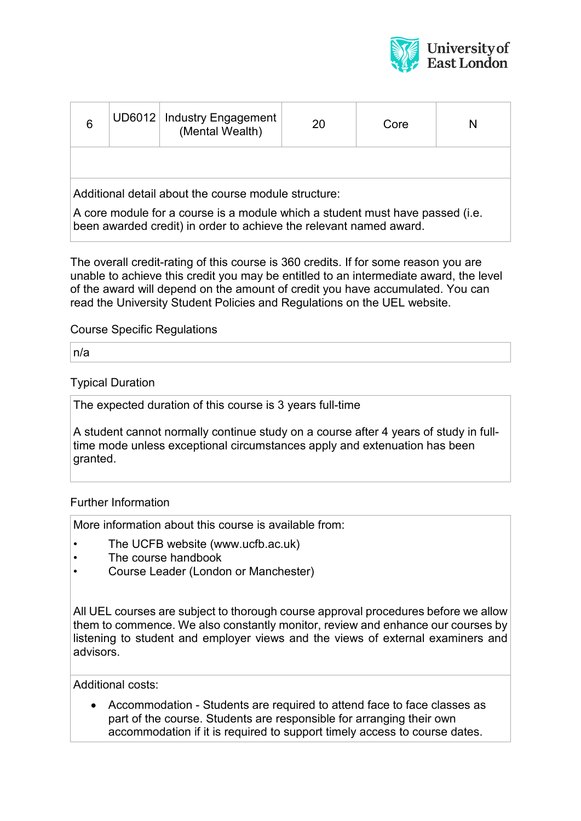

| 6                                                                                                                                                   |  | UD6012   Industry Engagement<br>(Mental Wealth) | 20 | Core | N |
|-----------------------------------------------------------------------------------------------------------------------------------------------------|--|-------------------------------------------------|----|------|---|
|                                                                                                                                                     |  |                                                 |    |      |   |
| Additional detail about the course module structure:                                                                                                |  |                                                 |    |      |   |
| A core module for a course is a module which a student must have passed (i.e.<br>been awarded credit) in order to achieve the relevant named award. |  |                                                 |    |      |   |

The overall credit-rating of this course is 360 credits. If for some reason you are unable to achieve this credit you may be entitled to an intermediate award, the level of the award will depend on the amount of credit you have accumulated. You can read the University Student Policies and Regulations on the UEL website.

Course Specific Regulations

n/a

### Typical Duration

The expected duration of this course is 3 years full-time

A student cannot normally continue study on a course after 4 years of study in fulltime mode unless exceptional circumstances apply and extenuation has been granted.

## Further Information

More information about this course is available from:

- The UCFB website (www.ucfb.ac.uk)
- The course handbook
- Course Leader (London or Manchester)

All UEL courses are subject to thorough course approval procedures before we allow them to commence. We also constantly monitor, review and enhance our courses by listening to student and employer views and the views of external examiners and advisors.

Additional costs:

• Accommodation - Students are required to attend face to face classes as part of the course. Students are responsible for arranging their own accommodation if it is required to support timely access to course dates.